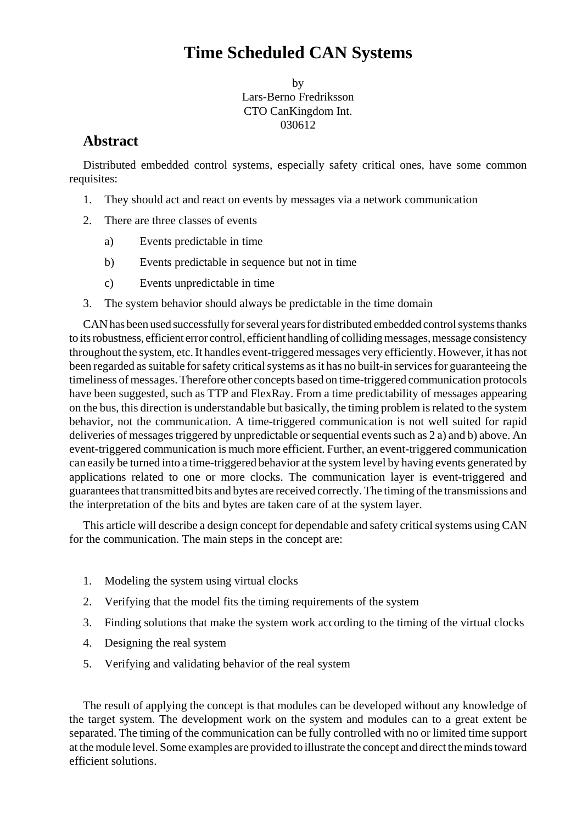# **Time Scheduled CAN Systems**

by Lars-Berno Fredriksson CTO CanKingdom Int. 030612

## **Abstract**

Distributed embedded control systems, especially safety critical ones, have some common requisites:

- 1. They should act and react on events by messages via a network communication
- 2. There are three classes of events
	- a) Events predictable in time
	- b) Events predictable in sequence but not in time
	- c) Events unpredictable in time
- 3. The system behavior should always be predictable in the time domain

CAN has been used successfully for several years for distributed embedded control systems thanks to its robustness, efficient error control, efficient handling of colliding messages, message consistency throughout the system, etc. It handles event-triggered messages very efficiently. However, it has not been regarded as suitable for safety critical systems as it has no built-in services for guaranteeing the timeliness of messages. Therefore other concepts based on time-triggered communication protocols have been suggested, such as TTP and FlexRay. From a time predictability of messages appearing on the bus, this direction is understandable but basically, the timing problem is related to the system behavior, not the communication. A time-triggered communication is not well suited for rapid deliveries of messages triggered by unpredictable or sequential events such as 2 a) and b) above. An event-triggered communication is much more efficient. Further, an event-triggered communication can easily be turned into a time-triggered behavior at the system level by having events generated by applications related to one or more clocks. The communication layer is event-triggered and guarantees that transmitted bits and bytes are received correctly. The timing of the transmissions and the interpretation of the bits and bytes are taken care of at the system layer.

This article will describe a design concept for dependable and safety critical systems using CAN for the communication. The main steps in the concept are:

- 1. Modeling the system using virtual clocks
- 2. Verifying that the model fits the timing requirements of the system
- 3. Finding solutions that make the system work according to the timing of the virtual clocks
- 4. Designing the real system
- 5. Verifying and validating behavior of the real system

The result of applying the concept is that modules can be developed without any knowledge of the target system. The development work on the system and modules can to a great extent be separated. The timing of the communication can be fully controlled with no or limited time support at the module level. Some examples are provided to illustrate the concept and direct the minds toward efficient solutions.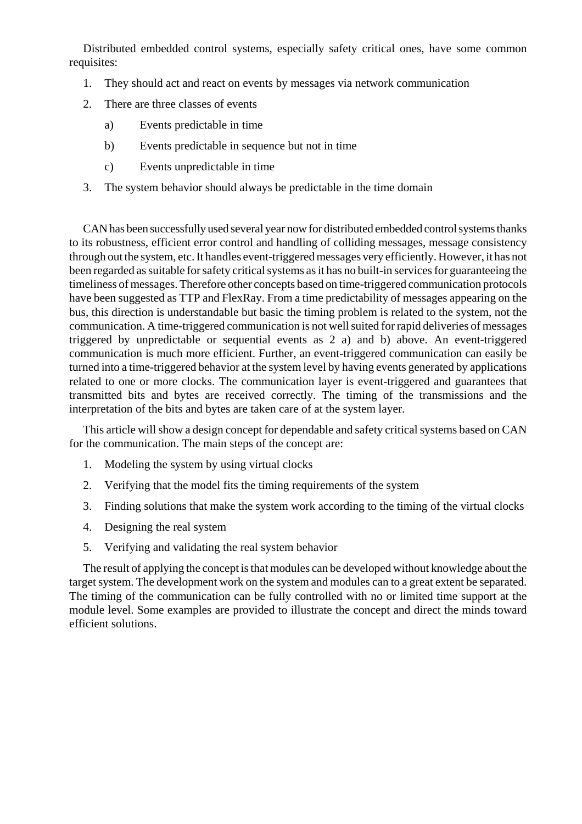Distributed embedded control systems, especially safety critical ones, have some common requisites:

- 1. They should act and react on events by messages via network communication
- 2. There are three classes of events
	- a) Events predictable in time
	- b) Events predictable in sequence but not in time
	- c) Events unpredictable in time
- 3. The system behavior should always be predictable in the time domain

CAN has been successfully used several year now for distributed embedded control systems thanks to its robustness, efficient error control and handling of colliding messages, message consistency through out the system, etc. It handles event-triggered messages very efficiently. However, it has not been regarded as suitable for safety critical systems as it has no built-in services for guaranteeing the timeliness of messages. Therefore other concepts based on time-triggered communication protocols have been suggested as TTP and FlexRay. From a time predictability of messages appearing on the bus, this direction is understandable but basic the timing problem is related to the system, not the communication. A time-triggered communication is not well suited for rapid deliveries of messages triggered by unpredictable or sequential events as 2 a) and b) above. An event-triggered communication is much more efficient. Further, an event-triggered communication can easily be turned into a time-triggered behavior at the system level by having events generated by applications related to one or more clocks. The communication layer is event-triggered and guarantees that transmitted bits and bytes are received correctly. The timing of the transmissions and the interpretation of the bits and bytes are taken care of at the system layer.

This article will show a design concept for dependable and safety critical systems based on CAN for the communication. The main steps of the concept are:

- 1. Modeling the system by using virtual clocks
- 2. Verifying that the model fits the timing requirements of the system
- 3. Finding solutions that make the system work according to the timing of the virtual clocks
- 4. Designing the real system
- 5. Verifying and validating the real system behavior

The result of applying the concept is that modules can be developed without knowledge about the target system. The development work on the system and modules can to a great extent be separated. The timing of the communication can be fully controlled with no or limited time support at the module level. Some examples are provided to illustrate the concept and direct the minds toward efficient solutions.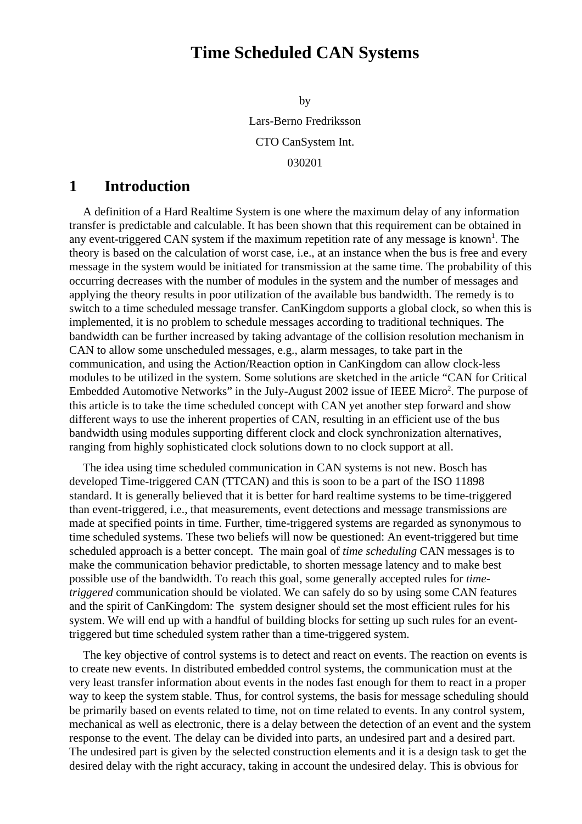# **Time Scheduled CAN Systems**

by

Lars-Berno Fredriksson CTO CanSystem Int. 030201

### **1 Introduction**

A definition of a Hard Realtime System is one where the maximum delay of any information transfer is predictable and calculable. It has been shown that this requirement can be obtained in any event-triggered CAN system if the maximum repetition rate of any message is known<sup>1</sup>. The theory is based on the calculation of worst case, i.e., at an instance when the bus is free and every message in the system would be initiated for transmission at the same time. The probability of this occurring decreases with the number of modules in the system and the number of messages and applying the theory results in poor utilization of the available bus bandwidth. The remedy is to switch to a time scheduled message transfer. CanKingdom supports a global clock, so when this is implemented, it is no problem to schedule messages according to traditional techniques. The bandwidth can be further increased by taking advantage of the collision resolution mechanism in CAN to allow some unscheduled messages, e.g., alarm messages, to take part in the communication, and using the Action/Reaction option in CanKingdom can allow clock-less modules to be utilized in the system. Some solutions are sketched in the article "CAN for Critical Embedded Automotive Networks" in the July-August 2002 issue of IEEE Micro<sup>2</sup>. The purpose of this article is to take the time scheduled concept with CAN yet another step forward and show different ways to use the inherent properties of CAN, resulting in an efficient use of the bus bandwidth using modules supporting different clock and clock synchronization alternatives, ranging from highly sophisticated clock solutions down to no clock support at all.

The idea using time scheduled communication in CAN systems is not new. Bosch has developed Time-triggered CAN (TTCAN) and this is soon to be a part of the ISO 11898 standard. It is generally believed that it is better for hard realtime systems to be time-triggered than event-triggered, i.e., that measurements, event detections and message transmissions are made at specified points in time. Further, time-triggered systems are regarded as synonymous to time scheduled systems. These two beliefs will now be questioned: An event-triggered but time scheduled approach is a better concept. The main goal of *time scheduling* CAN messages is to make the communication behavior predictable, to shorten message latency and to make best possible use of the bandwidth. To reach this goal, some generally accepted rules for *timetriggered* communication should be violated. We can safely do so by using some CAN features and the spirit of CanKingdom: The system designer should set the most efficient rules for his system. We will end up with a handful of building blocks for setting up such rules for an eventtriggered but time scheduled system rather than a time-triggered system.

The key objective of control systems is to detect and react on events. The reaction on events is to create new events. In distributed embedded control systems, the communication must at the very least transfer information about events in the nodes fast enough for them to react in a proper way to keep the system stable. Thus, for control systems, the basis for message scheduling should be primarily based on events related to time, not on time related to events. In any control system, mechanical as well as electronic, there is a delay between the detection of an event and the system response to the event. The delay can be divided into parts, an undesired part and a desired part. The undesired part is given by the selected construction elements and it is a design task to get the desired delay with the right accuracy, taking in account the undesired delay. This is obvious for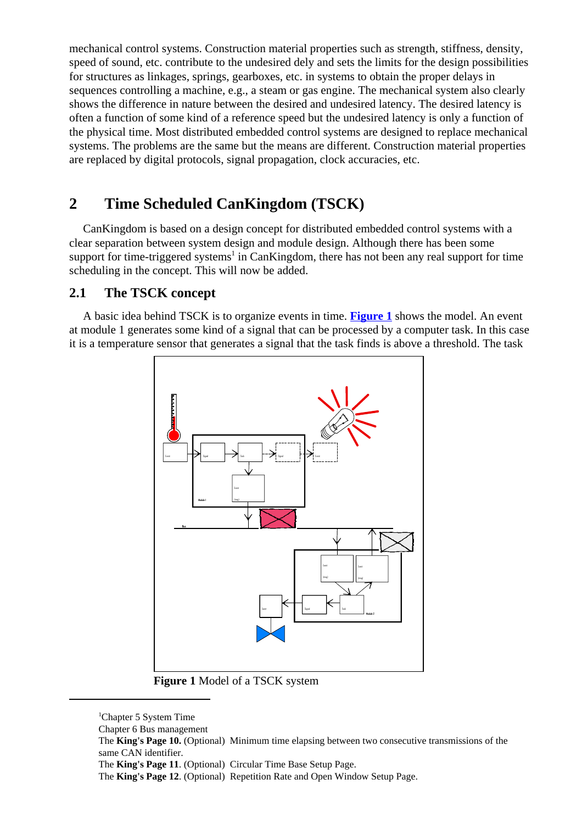mechanical control systems. Construction material properties such as strength, stiffness, density, speed of sound, etc. contribute to the undesired dely and sets the limits for the design possibilities for structures as linkages, springs, gearboxes, etc. in systems to obtain the proper delays in sequences controlling a machine, e.g., a steam or gas engine. The mechanical system also clearly shows the difference in nature between the desired and undesired latency. The desired latency is often a function of some kind of a reference speed but the undesired latency is only a function of the physical time. Most distributed embedded control systems are designed to replace mechanical systems. The problems are the same but the means are different. Construction material properties are replaced by digital protocols, signal propagation, clock accuracies, etc.

# **2 Time Scheduled CanKingdom (TSCK)**

CanKingdom is based on a design concept for distributed embedded control systems with a clear separation between system design and module design. Although there has been some support for time-triggered systems<sup>1</sup> in CanKingdom, there has not been any real support for time scheduling in the concept. This will now be added.

### **2.1 The TSCK concept**

A basic idea behind TSCK is to organize events in time. **Figure 1** shows the model. An event at module 1 generates some kind of a signal that can be processed by a computer task. In this case it is a temperature sensor that generates a signal that the task finds is above a threshold. The task



**Figure 1** Model of a TSCK system

<sup>&</sup>lt;sup>1</sup>Chapter 5 System Time

Chapter 6 Bus management

The **King's Page 10.** (Optional) Minimum time elapsing between two consecutive transmissions of the same CAN identifier.

The **King's Page 11**. (Optional) Circular Time Base Setup Page.

The **King's Page 12**. (Optional) Repetition Rate and Open Window Setup Page.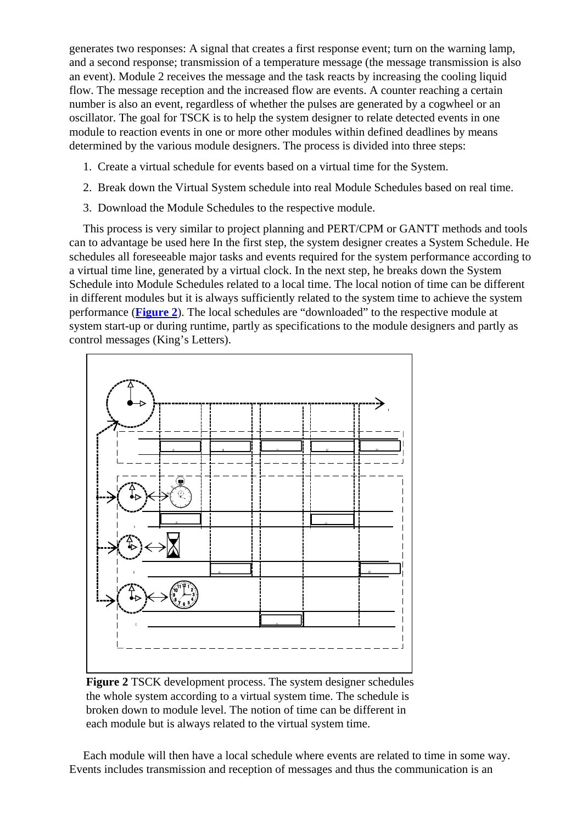generates two responses: A signal that creates a first response event; turn on the warning lamp, and a second response; transmission of a temperature message (the message transmission is also an event). Module 2 receives the message and the task reacts by increasing the cooling liquid flow. The message reception and the increased flow are events. A counter reaching a certain number is also an event, regardless of whether the pulses are generated by a cogwheel or an oscillator. The goal for TSCK is to help the system designer to relate detected events in one module to reaction events in one or more other modules within defined deadlines by means determined by the various module designers. The process is divided into three steps:

- 1. Create a virtual schedule for events based on a virtual time for the System.
- 2. Break down the Virtual System schedule into real Module Schedules based on real time.
- 3. Download the Module Schedules to the respective module.

This process is very similar to project planning and PERT/CPM or GANTT methods and tools can to advantage be used here In the first step, the system designer creates a System Schedule. He schedules all foreseeable major tasks and events required for the system performance according to a virtual time line, generated by a virtual clock. In the next step, he breaks down the System Schedule into Module Schedules related to a local time. The local notion of time can be different in different modules but it is always sufficiently related to the system time to achieve the system performance (**Figure 2**). The local schedules are "downloaded" to the respective module at system start-up or during runtime, partly as specifications to the module designers and partly as control messages (King's Letters).



**Figure 2** TSCK development process. The system designer schedules the whole system according to a virtual system time. The schedule is broken down to module level. The notion of time can be different in each module but is always related to the virtual system time.

Each module will then have a local schedule where events are related to time in some way. Events includes transmission and reception of messages and thus the communication is an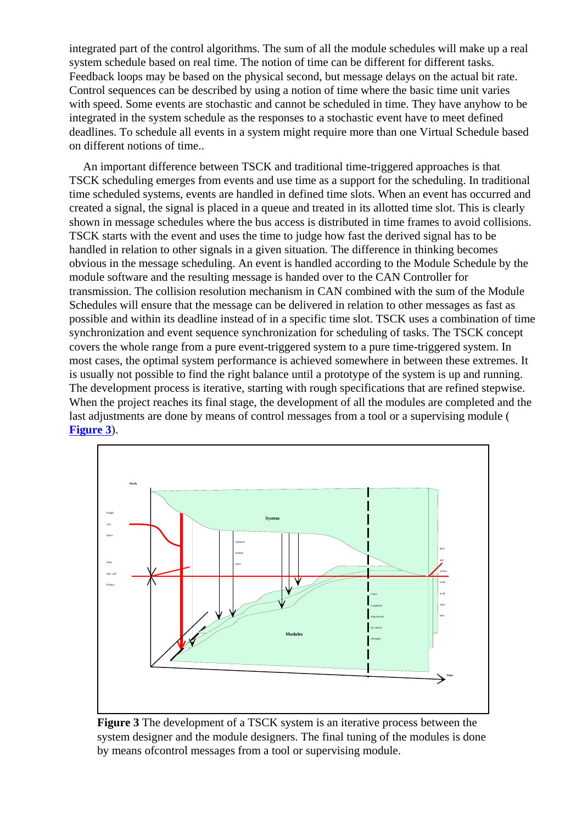integrated part of the control algorithms. The sum of all the module schedules will make up a real system schedule based on real time. The notion of time can be different for different tasks. Feedback loops may be based on the physical second, but message delays on the actual bit rate. Control sequences can be described by using a notion of time where the basic time unit varies with speed. Some events are stochastic and cannot be scheduled in time. They have anyhow to be integrated in the system schedule as the responses to a stochastic event have to meet defined deadlines. To schedule all events in a system might require more than one Virtual Schedule based on different notions of time..

An important difference between TSCK and traditional time-triggered approaches is that TSCK scheduling emerges from events and use time as a support for the scheduling. In traditional time scheduled systems, events are handled in defined time slots. When an event has occurred and created a signal, the signal is placed in a queue and treated in its allotted time slot. This is clearly shown in message schedules where the bus access is distributed in time frames to avoid collisions. TSCK starts with the event and uses the time to judge how fast the derived signal has to be handled in relation to other signals in a given situation. The difference in thinking becomes obvious in the message scheduling. An event is handled according to the Module Schedule by the module software and the resulting message is handed over to the CAN Controller for transmission. The collision resolution mechanism in CAN combined with the sum of the Module Schedules will ensure that the message can be delivered in relation to other messages as fast as possible and within its deadline instead of in a specific time slot. TSCK uses a combination of time synchronization and event sequence synchronization for scheduling of tasks. The TSCK concept covers the whole range from a pure event-triggered system to a pure time-triggered system. In most cases, the optimal system performance is achieved somewhere in between these extremes. It is usually not possible to find the right balance until a prototype of the system is up and running. The development process is iterative, starting with rough specifications that are refined stepwise. When the project reaches its final stage, the development of all the modules are completed and the last adjustments are done by means of control messages from a tool or a supervising module ( **Figure 3**).



**Figure 3** The development of a TSCK system is an iterative process between the system designer and the module designers. The final tuning of the modules is done by means ofcontrol messages from a tool or supervising module.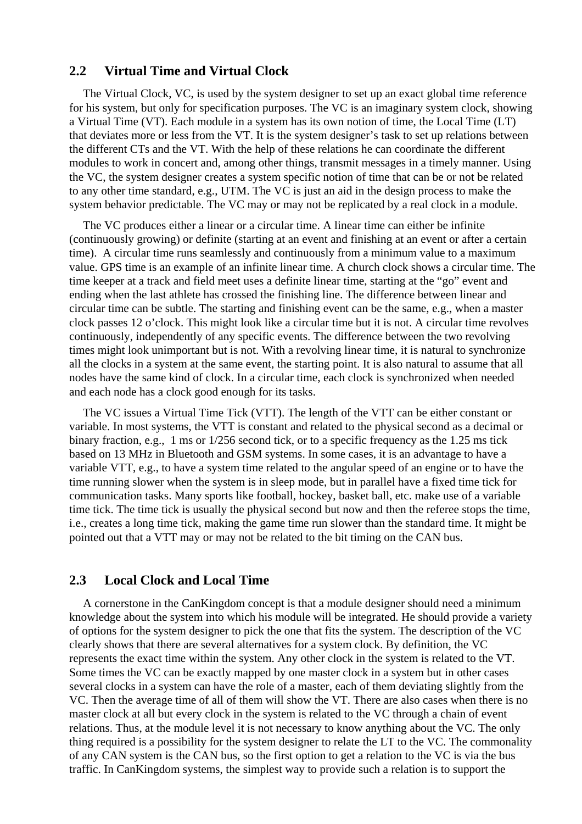#### **2.2 Virtual Time and Virtual Clock**

The Virtual Clock, VC, is used by the system designer to set up an exact global time reference for his system, but only for specification purposes. The VC is an imaginary system clock, showing a Virtual Time (VT). Each module in a system has its own notion of time, the Local Time (LT) that deviates more or less from the VT. It is the system designer's task to set up relations between the different CTs and the VT. With the help of these relations he can coordinate the different modules to work in concert and, among other things, transmit messages in a timely manner. Using the VC, the system designer creates a system specific notion of time that can be or not be related to any other time standard, e.g., UTM. The VC is just an aid in the design process to make the system behavior predictable. The VC may or may not be replicated by a real clock in a module.

The VC produces either a linear or a circular time. A linear time can either be infinite (continuously growing) or definite (starting at an event and finishing at an event or after a certain time). A circular time runs seamlessly and continuously from a minimum value to a maximum value. GPS time is an example of an infinite linear time. A church clock shows a circular time. The time keeper at a track and field meet uses a definite linear time, starting at the "go" event and ending when the last athlete has crossed the finishing line. The difference between linear and circular time can be subtle. The starting and finishing event can be the same, e.g., when a master clock passes 12 o'clock. This might look like a circular time but it is not. A circular time revolves continuously, independently of any specific events. The difference between the two revolving times might look unimportant but is not. With a revolving linear time, it is natural to synchronize all the clocks in a system at the same event, the starting point. It is also natural to assume that all nodes have the same kind of clock. In a circular time, each clock is synchronized when needed and each node has a clock good enough for its tasks.

The VC issues a Virtual Time Tick (VTT). The length of the VTT can be either constant or variable. In most systems, the VTT is constant and related to the physical second as a decimal or binary fraction, e.g., 1 ms or 1/256 second tick, or to a specific frequency as the 1.25 ms tick based on 13 MHz in Bluetooth and GSM systems. In some cases, it is an advantage to have a variable VTT, e.g., to have a system time related to the angular speed of an engine or to have the time running slower when the system is in sleep mode, but in parallel have a fixed time tick for communication tasks. Many sports like football, hockey, basket ball, etc. make use of a variable time tick. The time tick is usually the physical second but now and then the referee stops the time, i.e., creates a long time tick, making the game time run slower than the standard time. It might be pointed out that a VTT may or may not be related to the bit timing on the CAN bus.

#### **2.3 Local Clock and Local Time**

A cornerstone in the CanKingdom concept is that a module designer should need a minimum knowledge about the system into which his module will be integrated. He should provide a variety of options for the system designer to pick the one that fits the system. The description of the VC clearly shows that there are several alternatives for a system clock. By definition, the VC represents the exact time within the system. Any other clock in the system is related to the VT. Some times the VC can be exactly mapped by one master clock in a system but in other cases several clocks in a system can have the role of a master, each of them deviating slightly from the VC. Then the average time of all of them will show the VT. There are also cases when there is no master clock at all but every clock in the system is related to the VC through a chain of event relations. Thus, at the module level it is not necessary to know anything about the VC. The only thing required is a possibility for the system designer to relate the LT to the VC. The commonality of any CAN system is the CAN bus, so the first option to get a relation to the VC is via the bus traffic. In CanKingdom systems, the simplest way to provide such a relation is to support the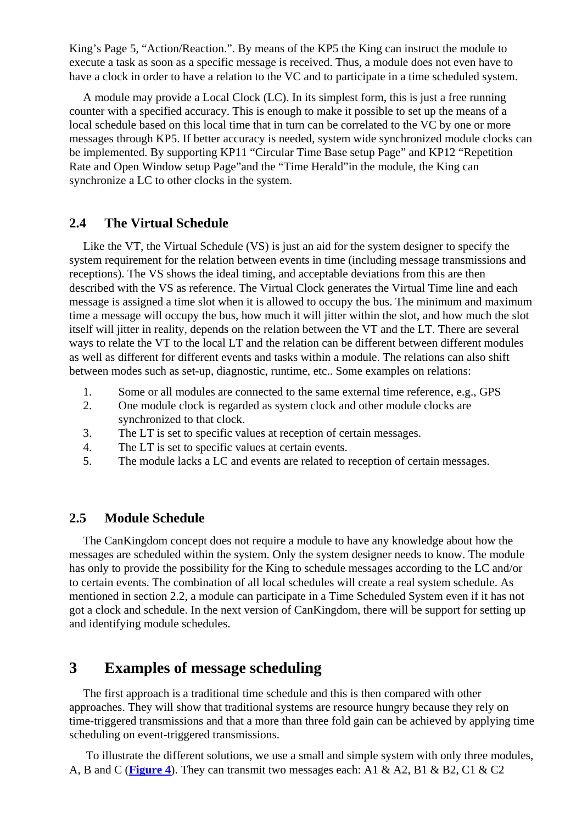King's Page 5, "Action/Reaction.". By means of the KP5 the King can instruct the module to execute a task as soon as a specific message is received. Thus, a module does not even have to have a clock in order to have a relation to the VC and to participate in a time scheduled system.

A module may provide a Local Clock (LC). In its simplest form, this is just a free running counter with a specified accuracy. This is enough to make it possible to set up the means of a local schedule based on this local time that in turn can be correlated to the VC by one or more messages through KP5. If better accuracy is needed, system wide synchronized module clocks can be implemented. By supporting KP11 "Circular Time Base setup Page" and KP12 "Repetition Rate and Open Window setup Page"and the "Time Herald"in the module, the King can synchronize a LC to other clocks in the system.

### **2.4 The Virtual Schedule**

Like the VT, the Virtual Schedule (VS) is just an aid for the system designer to specify the system requirement for the relation between events in time (including message transmissions and receptions). The VS shows the ideal timing, and acceptable deviations from this are then described with the VS as reference. The Virtual Clock generates the Virtual Time line and each message is assigned a time slot when it is allowed to occupy the bus. The minimum and maximum time a message will occupy the bus, how much it will jitter within the slot, and how much the slot itself will jitter in reality, depends on the relation between the VT and the LT. There are several ways to relate the VT to the local LT and the relation can be different between different modules as well as different for different events and tasks within a module. The relations can also shift between modes such as set-up, diagnostic, runtime, etc.. Some examples on relations:

- 1. Some or all modules are connected to the same external time reference, e.g., GPS
- 2. One module clock is regarded as system clock and other module clocks are synchronized to that clock.
- 3. The LT is set to specific values at reception of certain messages.
- 4. The LT is set to specific values at certain events.
- 5. The module lacks a LC and events are related to reception of certain messages.

### **2.5 Module Schedule**

The CanKingdom concept does not require a module to have any knowledge about how the messages are scheduled within the system. Only the system designer needs to know. The module has only to provide the possibility for the King to schedule messages according to the LC and/or to certain events. The combination of all local schedules will create a real system schedule. As mentioned in section 2.2, a module can participate in a Time Scheduled System even if it has not got a clock and schedule. In the next version of CanKingdom, there will be support for setting up and identifying module schedules.

# **3 Examples of message scheduling**

The first approach is a traditional time schedule and this is then compared with other approaches. They will show that traditional systems are resource hungry because they rely on time-triggered transmissions and that a more than three fold gain can be achieved by applying time scheduling on event-triggered transmissions.

 To illustrate the different solutions, we use a small and simple system with only three modules, A, B and C (**Figure 4**). They can transmit two messages each: A1 & A2, B1 & B2, C1 & C2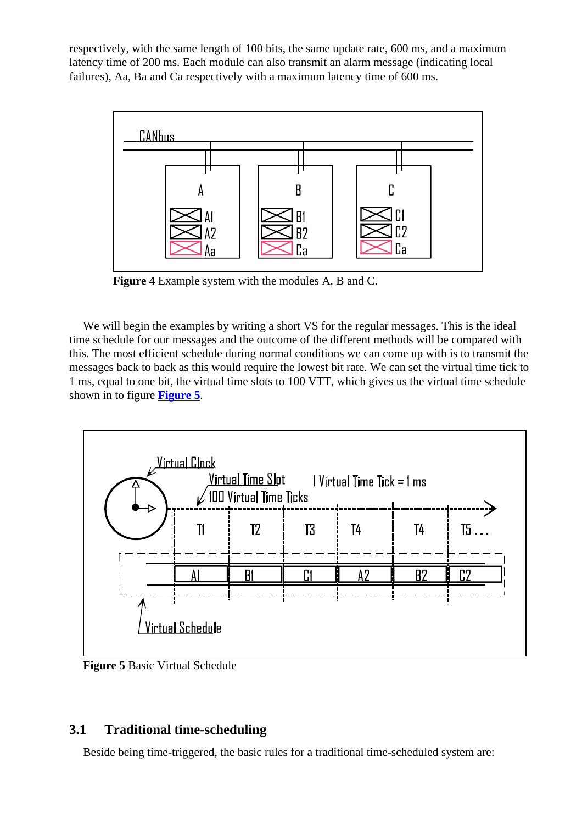respectively, with the same length of 100 bits, the same update rate, 600 ms, and a maximum latency time of 200 ms. Each module can also transmit an alarm message (indicating local failures), Aa, Ba and Ca respectively with a maximum latency time of 600 ms.



**Figure 4** Example system with the modules A, B and C.

We will begin the examples by writing a short VS for the regular messages. This is the ideal time schedule for our messages and the outcome of the different methods will be compared with this. The most efficient schedule during normal conditions we can come up with is to transmit the messages back to back as this would require the lowest bit rate. We can set the virtual time tick to 1 ms, equal to one bit, the virtual time slots to 100 VTT, which gives us the virtual time schedule shown in to figure **Figure 5**.



**Figure 5** Basic Virtual Schedule

### **3.1 Traditional time-scheduling**

Beside being time-triggered, the basic rules for a traditional time-scheduled system are: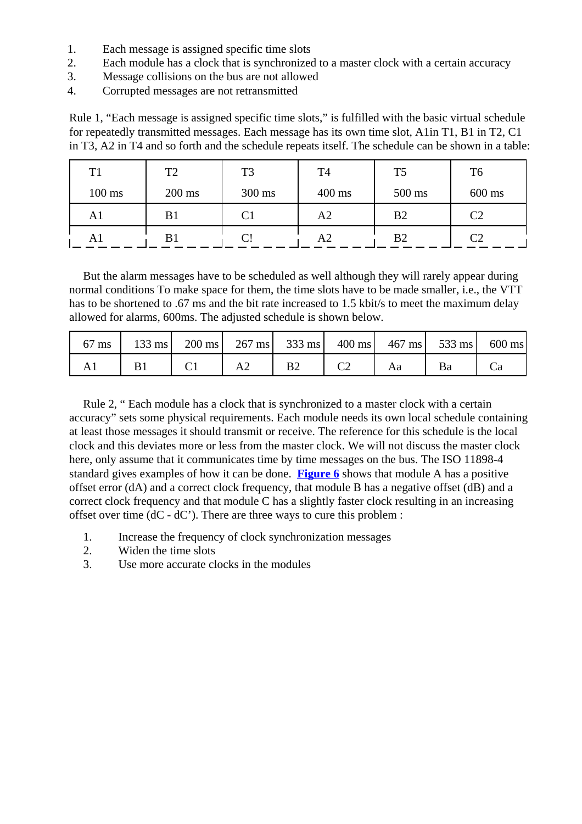- 1. Each message is assigned specific time slots
- 2. Each module has a clock that is synchronized to a master clock with a certain accuracy
- 3. Message collisions on the bus are not allowed
- 4. Corrupted messages are not retransmitted

Rule 1, "Each message is assigned specific time slots," is fulfilled with the basic virtual schedule for repeatedly transmitted messages. Each message has its own time slot, A1in T1, B1 in T2, C1 in T3, A2 in T4 and so forth and the schedule repeats itself. The schedule can be shown in a table:

| T1               | T <sub>2</sub> | T <sub>3</sub> | T4             | T <sub>5</sub> | T <sub>6</sub> |
|------------------|----------------|----------------|----------------|----------------|----------------|
| $100 \text{ ms}$ | $200$ ms       | 300 ms         | $400$ ms       | 500 ms         | $600$ ms       |
| A1               | B <sub>1</sub> |                | A <sub>2</sub> | B <sub>2</sub> | C2             |
| AI               | B1             | C!             | A <sub>2</sub> | B <sub>2</sub> | $\rm C2$       |

But the alarm messages have to be scheduled as well although they will rarely appear during normal conditions To make space for them, the time slots have to be made smaller, i.e., the VTT has to be shortened to .67 ms and the bit rate increased to 1.5 kbit/s to meet the maximum delay allowed for alarms, 600ms. The adjusted schedule is shown below.

| 67 ms   133 ms   200 ms   267 ms   333 ms   400 ms   467 ms   533 ms   600 ms |    |                |    |  |
|-------------------------------------------------------------------------------|----|----------------|----|--|
|                                                                               | A2 | B <sub>2</sub> | Aa |  |

Rule 2, " Each module has a clock that is synchronized to a master clock with a certain accuracy" sets some physical requirements. Each module needs its own local schedule containing at least those messages it should transmit or receive. The reference for this schedule is the local clock and this deviates more or less from the master clock. We will not discuss the master clock here, only assume that it communicates time by time messages on the bus. The ISO 11898-4 standard gives examples of how it can be done. **Figure 6** shows that module A has a positive offset error (dA) and a correct clock frequency, that module B has a negative offset (dB) and a correct clock frequency and that module C has a slightly faster clock resulting in an increasing offset over time (dC - dC'). There are three ways to cure this problem :

- 1. Increase the frequency of clock synchronization messages
- 2. Widen the time slots
- 3. Use more accurate clocks in the modules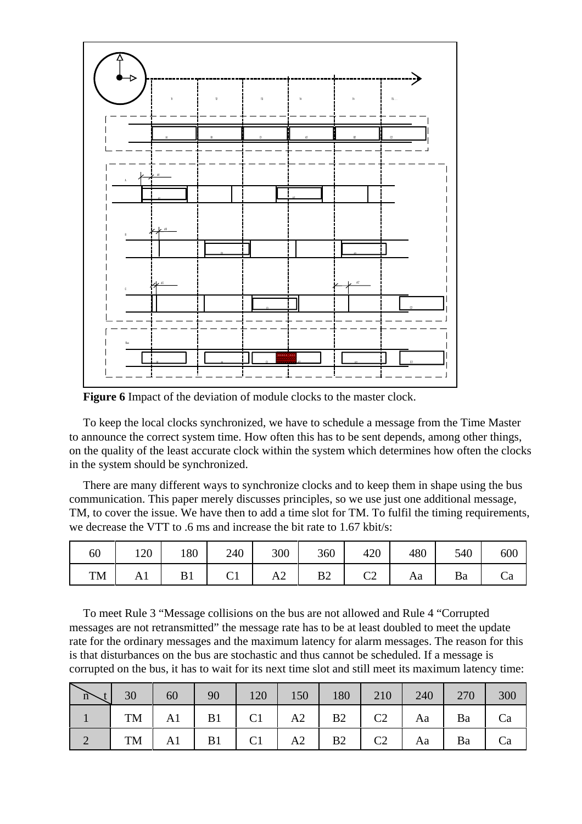

Figure 6 Impact of the deviation of module clocks to the master clock.

To keep the local clocks synchronized, we have to schedule a message from the Time Master to announce the correct system time. How often this has to be sent depends, among other things, on the quality of the least accurate clock within the system which determines how often the clocks in the system should be synchronized.

There are many different ways to synchronize clocks and to keep them in shape using the bus communication. This paper merely discusses principles, so we use just one additional message, TM, to cover the issue. We have then to add a time slot for TM. To fulfil the timing requirements, we decrease the VTT to .6 ms and increase the bit rate to 1.67 kbit/s:

| 60 | 120 | 180 | 240 | 300 | 360            | 420 | 480 | 540 | 600 |
|----|-----|-----|-----|-----|----------------|-----|-----|-----|-----|
| TM | Al  |     | ◡▴  | AZ  | B <sub>2</sub> | ◡▵  | Aa  | Ba  | Ċа  |

To meet Rule 3 "Message collisions on the bus are not allowed and Rule 4 "Corrupted messages are not retransmitted" the message rate has to be at least doubled to meet the update rate for the ordinary messages and the maximum latency for alarm messages. The reason for this is that disturbances on the bus are stochastic and thus cannot be scheduled. If a message is corrupted on the bus, it has to wait for its next time slot and still meet its maximum latency time:

| $\overrightarrow{n}$ | 30 | 60             | 90 | $120$ 150 180                              | 210 |            | 240 270 | 300 |
|----------------------|----|----------------|----|--------------------------------------------|-----|------------|---------|-----|
|                      |    |                |    | TM   A1   B1   C1   A2   B2   C2   Aa   Ba |     |            |         | Ca  |
|                      |    | $TM$   A1   B1 |    |                                            | C2  | Aa $\vert$ | Ba      | Ca  |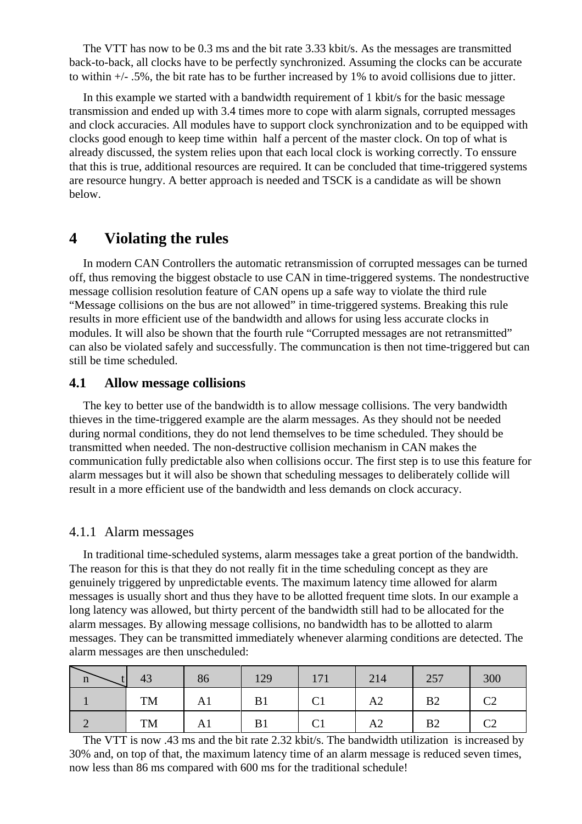The VTT has now to be 0.3 ms and the bit rate 3.33 kbit/s. As the messages are transmitted back-to-back, all clocks have to be perfectly synchronized. Assuming the clocks can be accurate to within +/- .5%, the bit rate has to be further increased by 1% to avoid collisions due to jitter.

In this example we started with a bandwidth requirement of 1 kbit/s for the basic message transmission and ended up with 3.4 times more to cope with alarm signals, corrupted messages and clock accuracies. All modules have to support clock synchronization and to be equipped with clocks good enough to keep time within half a percent of the master clock. On top of what is already discussed, the system relies upon that each local clock is working correctly. To enssure that this is true, additional resources are required. It can be concluded that time-triggered systems are resource hungry. A better approach is needed and TSCK is a candidate as will be shown below.

# **4 Violating the rules**

In modern CAN Controllers the automatic retransmission of corrupted messages can be turned off, thus removing the biggest obstacle to use CAN in time-triggered systems. The nondestructive message collision resolution feature of CAN opens up a safe way to violate the third rule "Message collisions on the bus are not allowed" in time-triggered systems. Breaking this rule results in more efficient use of the bandwidth and allows for using less accurate clocks in modules. It will also be shown that the fourth rule "Corrupted messages are not retransmitted" can also be violated safely and successfully. The communcation is then not time-triggered but can still be time scheduled.

### **4.1 Allow message collisions**

The key to better use of the bandwidth is to allow message collisions. The very bandwidth thieves in the time-triggered example are the alarm messages. As they should not be needed during normal conditions, they do not lend themselves to be time scheduled. They should be transmitted when needed. The non-destructive collision mechanism in CAN makes the communication fully predictable also when collisions occur. The first step is to use this feature for alarm messages but it will also be shown that scheduling messages to deliberately collide will result in a more efficient use of the bandwidth and less demands on clock accuracy.

### 4.1.1 Alarm messages

In traditional time-scheduled systems, alarm messages take a great portion of the bandwidth. The reason for this is that they do not really fit in the time scheduling concept as they are genuinely triggered by unpredictable events. The maximum latency time allowed for alarm messages is usually short and thus they have to be allotted frequent time slots. In our example a long latency was allowed, but thirty percent of the bandwidth still had to be allocated for the alarm messages. By allowing message collisions, no bandwidth has to be allotted to alarm messages. They can be transmitted immediately whenever alarming conditions are detected. The alarm messages are then unscheduled:

| $\mathbf n$ | 43 | 86 | 129 | 171<br>111    | 214            | 257            | 300                      |
|-------------|----|----|-----|---------------|----------------|----------------|--------------------------|
|             | TM | Al | B1  |               | A <sub>2</sub> | B <sub>2</sub> | $\curvearrowright$<br>◡▵ |
|             | TM | Al | B1  | $\mathrm{C}1$ | A <sub>2</sub> | B <sub>2</sub> | ◡▱                       |

The VTT is now .43 ms and the bit rate 2.32 kbit/s. The bandwidth utilization is increased by 30% and, on top of that, the maximum latency time of an alarm message is reduced seven times, now less than 86 ms compared with 600 ms for the traditional schedule!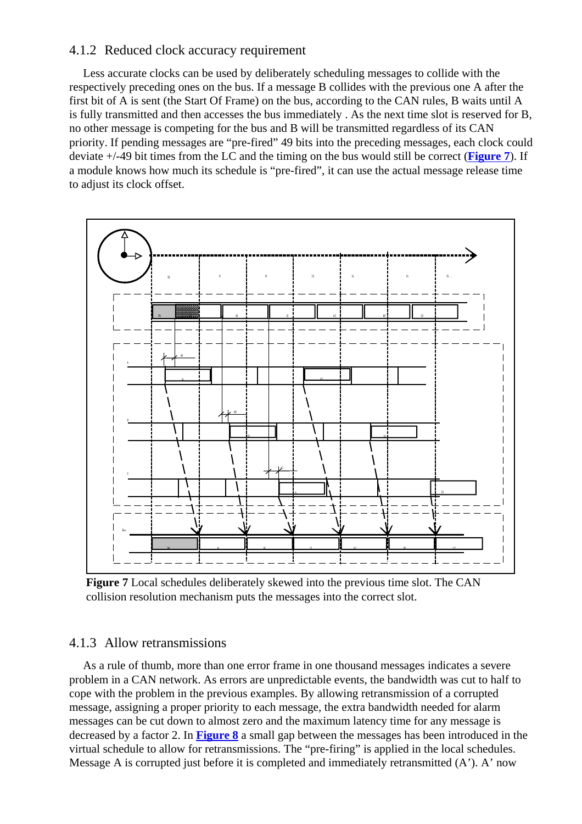### 4.1.2 Reduced clock accuracy requirement

Less accurate clocks can be used by deliberately scheduling messages to collide with the respectively preceding ones on the bus. If a message B collides with the previous one A after the first bit of A is sent (the Start Of Frame) on the bus, according to the CAN rules, B waits until A is fully transmitted and then accesses the bus immediately . As the next time slot is reserved for B, no other message is competing for the bus and B will be transmitted regardless of its CAN priority. If pending messages are "pre-fired" 49 bits into the preceding messages, each clock could deviate +/-49 bit times from the LC and the timing on the bus would still be correct (**Figure 7**). If a module knows how much its schedule is "pre-fired", it can use the actual message release time to adjust its clock offset.



**Figure 7** Local schedules deliberately skewed into the previous time slot. The CAN collision resolution mechanism puts the messages into the correct slot.

### 4.1.3 Allow retransmissions

As a rule of thumb, more than one error frame in one thousand messages indicates a severe problem in a CAN network. As errors are unpredictable events, the bandwidth was cut to half to cope with the problem in the previous examples. By allowing retransmission of a corrupted message, assigning a proper priority to each message, the extra bandwidth needed for alarm messages can be cut down to almost zero and the maximum latency time for any message is decreased by a factor 2. In **Figure 8** a small gap between the messages has been introduced in the virtual schedule to allow for retransmissions. The "pre-firing" is applied in the local schedules. Message A is corrupted just before it is completed and immediately retransmitted (A'). A' now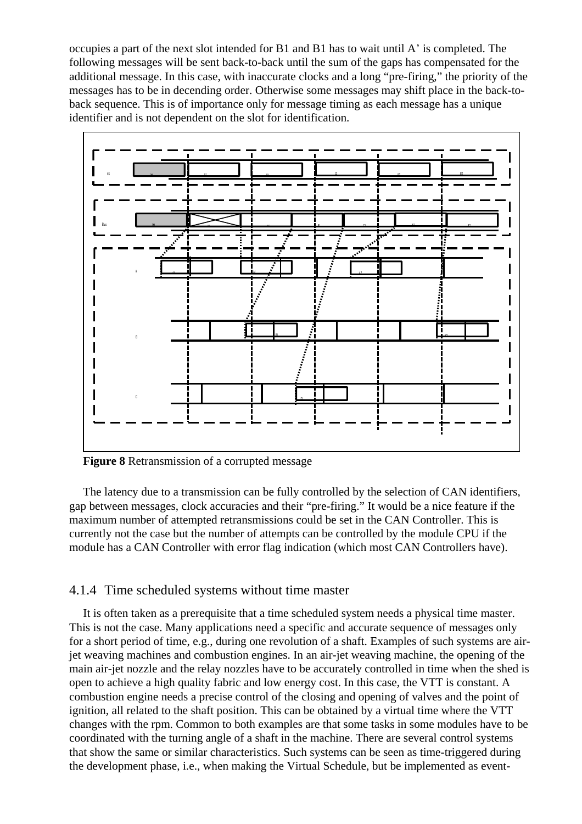occupies a part of the next slot intended for B1 and B1 has to wait until A' is completed. The following messages will be sent back-to-back until the sum of the gaps has compensated for the additional message. In this case, with inaccurate clocks and a long "pre-firing," the priority of the messages has to be in decending order. Otherwise some messages may shift place in the back-toback sequence. This is of importance only for message timing as each message has a unique identifier and is not dependent on the slot for identification.



**Figure 8** Retransmission of a corrupted message

The latency due to a transmission can be fully controlled by the selection of CAN identifiers, gap between messages, clock accuracies and their "pre-firing." It would be a nice feature if the maximum number of attempted retransmissions could be set in the CAN Controller. This is currently not the case but the number of attempts can be controlled by the module CPU if the module has a CAN Controller with error flag indication (which most CAN Controllers have).

### 4.1.4 Time scheduled systems without time master

It is often taken as a prerequisite that a time scheduled system needs a physical time master. This is not the case. Many applications need a specific and accurate sequence of messages only for a short period of time, e.g., during one revolution of a shaft. Examples of such systems are airjet weaving machines and combustion engines. In an air-jet weaving machine, the opening of the main air-jet nozzle and the relay nozzles have to be accurately controlled in time when the shed is open to achieve a high quality fabric and low energy cost. In this case, the VTT is constant. A combustion engine needs a precise control of the closing and opening of valves and the point of ignition, all related to the shaft position. This can be obtained by a virtual time where the VTT changes with the rpm. Common to both examples are that some tasks in some modules have to be coordinated with the turning angle of a shaft in the machine. There are several control systems that show the same or similar characteristics. Such systems can be seen as time-triggered during the development phase, i.e., when making the Virtual Schedule, but be implemented as event-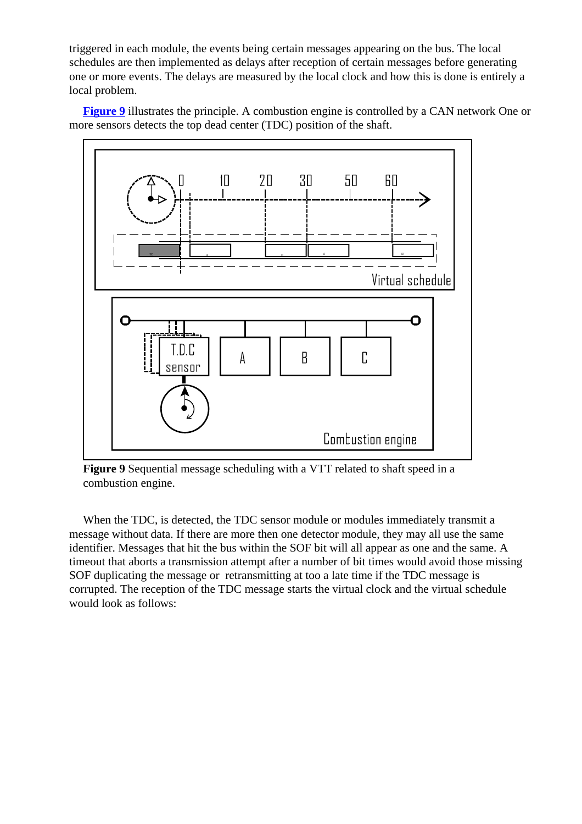triggered in each module, the events being certain messages appearing on the bus. The local schedules are then implemented as delays after reception of certain messages before generating one or more events. The delays are measured by the local clock and how this is done is entirely a local problem.

**Figure 9** illustrates the principle. A combustion engine is controlled by a CAN network One or more sensors detects the top dead center (TDC) position of the shaft.



**Figure 9** Sequential message scheduling with a VTT related to shaft speed in a combustion engine.

When the TDC, is detected, the TDC sensor module or modules immediately transmit a message without data. If there are more then one detector module, they may all use the same identifier. Messages that hit the bus within the SOF bit will all appear as one and the same. A timeout that aborts a transmission attempt after a number of bit times would avoid those missing SOF duplicating the message or retransmitting at too a late time if the TDC message is corrupted. The reception of the TDC message starts the virtual clock and the virtual schedule would look as follows: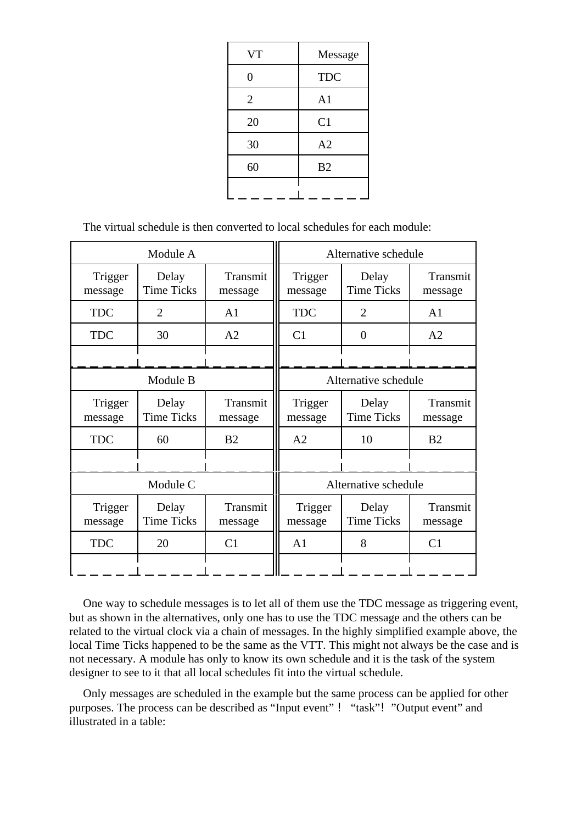| <b>VT</b>      | Message        |
|----------------|----------------|
| 0              | <b>TDC</b>     |
| $\overline{2}$ | A <sub>1</sub> |
| 20             | C <sub>1</sub> |
| 30             | A2             |
| 60             | B <sub>2</sub> |
|                |                |

The virtual schedule is then converted to local schedules for each module:

|                    | Module A                   |                     |                    | Alternative schedule       |                     |  |  |
|--------------------|----------------------------|---------------------|--------------------|----------------------------|---------------------|--|--|
| Trigger<br>message | Delay<br><b>Time Ticks</b> | Transmit<br>message | Trigger<br>message | Delay<br><b>Time Ticks</b> | Transmit<br>message |  |  |
| <b>TDC</b>         | $\overline{2}$             | A1                  | <b>TDC</b>         | $\overline{2}$             | A <sub>1</sub>      |  |  |
| <b>TDC</b>         | 30                         | A2                  | C <sub>1</sub>     | $\theta$                   | A2                  |  |  |
|                    |                            |                     |                    |                            |                     |  |  |
|                    | Module B                   |                     |                    | Alternative schedule       |                     |  |  |
| Trigger<br>message | Delay<br><b>Time Ticks</b> | Transmit<br>message | Trigger<br>message | Delay<br><b>Time Ticks</b> | Transmit<br>message |  |  |
| <b>TDC</b>         | 60                         | B <sub>2</sub>      | A2                 | 10                         | B <sub>2</sub>      |  |  |
|                    |                            |                     |                    |                            |                     |  |  |
|                    | Module C                   |                     |                    | Alternative schedule       |                     |  |  |
| Trigger<br>message | Delay<br><b>Time Ticks</b> | Transmit<br>message | Trigger<br>message | Delay<br><b>Time Ticks</b> | Transmit<br>message |  |  |
| <b>TDC</b>         | 20                         | C <sub>1</sub>      | A <sub>1</sub>     | 8                          | C <sub>1</sub>      |  |  |
|                    |                            |                     |                    |                            |                     |  |  |

One way to schedule messages is to let all of them use the TDC message as triggering event, but as shown in the alternatives, only one has to use the TDC message and the others can be related to the virtual clock via a chain of messages. In the highly simplified example above, the local Time Ticks happened to be the same as the VTT. This might not always be the case and is not necessary. A module has only to know its own schedule and it is the task of the system designer to see to it that all local schedules fit into the virtual schedule.

Only messages are scheduled in the example but the same process can be applied for other purposes. The process can be described as "Input event" ! "task"! "Output event" and illustrated in a table: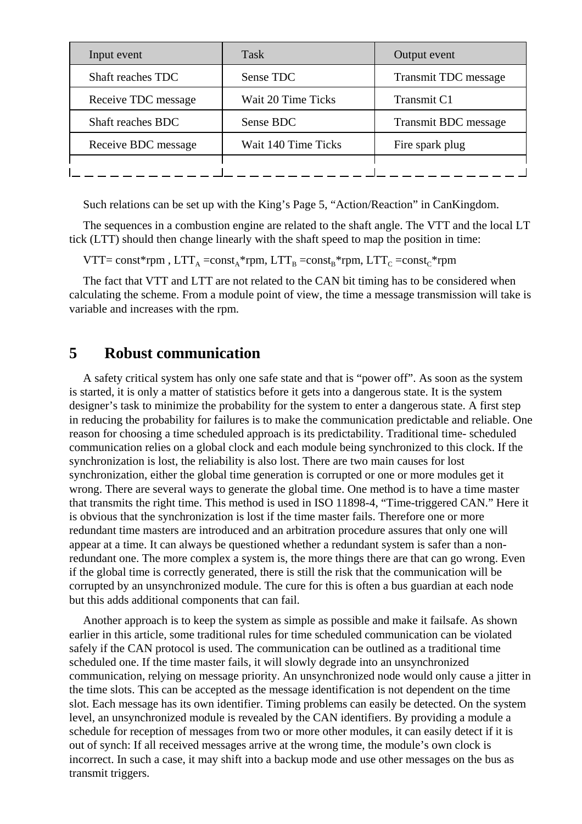| Input event         | <b>Task</b>         | Output event                |
|---------------------|---------------------|-----------------------------|
| Shaft reaches TDC   | Sense TDC           | <b>Transmit TDC</b> message |
| Receive TDC message | Wait 20 Time Ticks  | Transmit C1                 |
| Shaft reaches BDC   | Sense BDC           | <b>Transmit BDC</b> message |
| Receive BDC message | Wait 140 Time Ticks | Fire spark plug             |
|                     |                     |                             |

Such relations can be set up with the King's Page 5, "Action/Reaction" in CanKingdom.

The sequences in a combustion engine are related to the shaft angle. The VTT and the local LT tick (LTT) should then change linearly with the shaft speed to map the position in time:

VTT= const\*rpm,  $LTT_A = const_A * rpm$ ,  $LTT_B = const_B * rpm$ ,  $LTT_C = const_C * rpm$ 

The fact that VTT and LTT are not related to the CAN bit timing has to be considered when calculating the scheme. From a module point of view, the time a message transmission will take is variable and increases with the rpm.

## **5 Robust communication**

A safety critical system has only one safe state and that is "power off". As soon as the system is started, it is only a matter of statistics before it gets into a dangerous state. It is the system designer's task to minimize the probability for the system to enter a dangerous state. A first step in reducing the probability for failures is to make the communication predictable and reliable. One reason for choosing a time scheduled approach is its predictability. Traditional time- scheduled communication relies on a global clock and each module being synchronized to this clock. If the synchronization is lost, the reliability is also lost. There are two main causes for lost synchronization, either the global time generation is corrupted or one or more modules get it wrong. There are several ways to generate the global time. One method is to have a time master that transmits the right time. This method is used in ISO 11898-4, "Time-triggered CAN." Here it is obvious that the synchronization is lost if the time master fails. Therefore one or more redundant time masters are introduced and an arbitration procedure assures that only one will appear at a time. It can always be questioned whether a redundant system is safer than a nonredundant one. The more complex a system is, the more things there are that can go wrong. Even if the global time is correctly generated, there is still the risk that the communication will be corrupted by an unsynchronized module. The cure for this is often a bus guardian at each node but this adds additional components that can fail.

Another approach is to keep the system as simple as possible and make it failsafe. As shown earlier in this article, some traditional rules for time scheduled communication can be violated safely if the CAN protocol is used. The communication can be outlined as a traditional time scheduled one. If the time master fails, it will slowly degrade into an unsynchronized communication, relying on message priority. An unsynchronized node would only cause a jitter in the time slots. This can be accepted as the message identification is not dependent on the time slot. Each message has its own identifier. Timing problems can easily be detected. On the system level, an unsynchronized module is revealed by the CAN identifiers. By providing a module a schedule for reception of messages from two or more other modules, it can easily detect if it is out of synch: If all received messages arrive at the wrong time, the module's own clock is incorrect. In such a case, it may shift into a backup mode and use other messages on the bus as transmit triggers.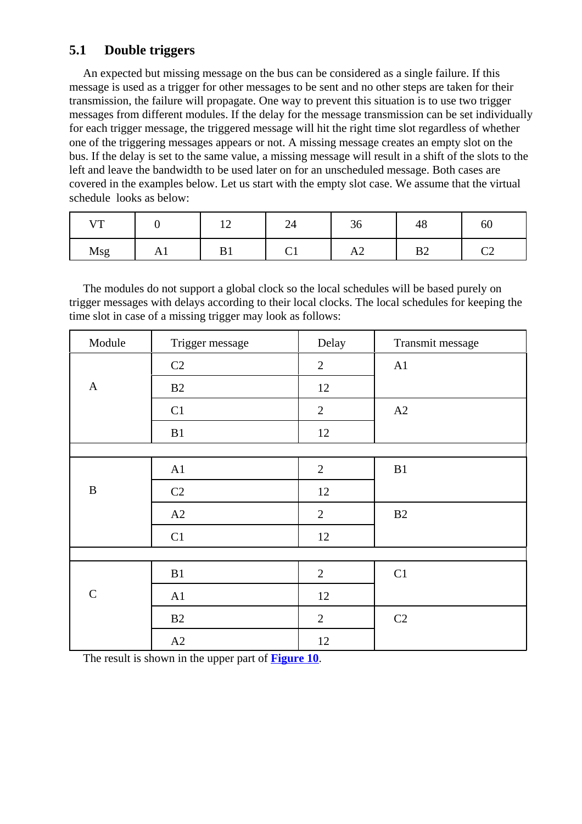## **5.1 Double triggers**

An expected but missing message on the bus can be considered as a single failure. If this message is used as a trigger for other messages to be sent and no other steps are taken for their transmission, the failure will propagate. One way to prevent this situation is to use two trigger messages from different modules. If the delay for the message transmission can be set individually for each trigger message, the triggered message will hit the right time slot regardless of whether one of the triggering messages appears or not. A missing message creates an empty slot on the bus. If the delay is set to the same value, a missing message will result in a shift of the slots to the left and leave the bandwidth to be used later on for an unscheduled message. Both cases are covered in the examples below. Let us start with the empty slot case. We assume that the virtual schedule looks as below:

| $\sqrt{1}$<br>$\overline{\phantom{a}}$ |                                    | $\overline{\phantom{0}}$ | 24      | JU.            | 40        | 60                   |
|----------------------------------------|------------------------------------|--------------------------|---------|----------------|-----------|----------------------|
| Msg                                    | $\mathbf{1} \mathbf{1} \mathbf{1}$ | ້                        | ⌒<br>◡ェ | $\overline{1}$ | ∩ים<br>D2 | $\mathop{\sim}$<br>∽ |

The modules do not support a global clock so the local schedules will be based purely on trigger messages with delays according to their local clocks. The local schedules for keeping the time slot in case of a missing trigger may look as follows:

| Module       | Trigger message | Delay          | Transmit message |
|--------------|-----------------|----------------|------------------|
|              | C2              | $\overline{2}$ | A1               |
| $\mathbf{A}$ | B2              | 12             |                  |
|              | C1              | $\overline{2}$ | A2               |
|              | B1              | 12             |                  |
|              |                 |                |                  |
|              | A1              | $\overline{2}$ | B1               |
| $\, {\bf B}$ | C <sub>2</sub>  | 12             |                  |
|              | A2              | $\overline{2}$ | B2               |
|              | C1              | 12             |                  |
|              |                 |                |                  |
|              | B1              | $\overline{2}$ | C1               |
| ${\bf C}$    | A1              | 12             |                  |
|              | B2              | $\overline{2}$ | C2               |
|              | A2              | 12             |                  |

The result is shown in the upper part of **Figure 10**.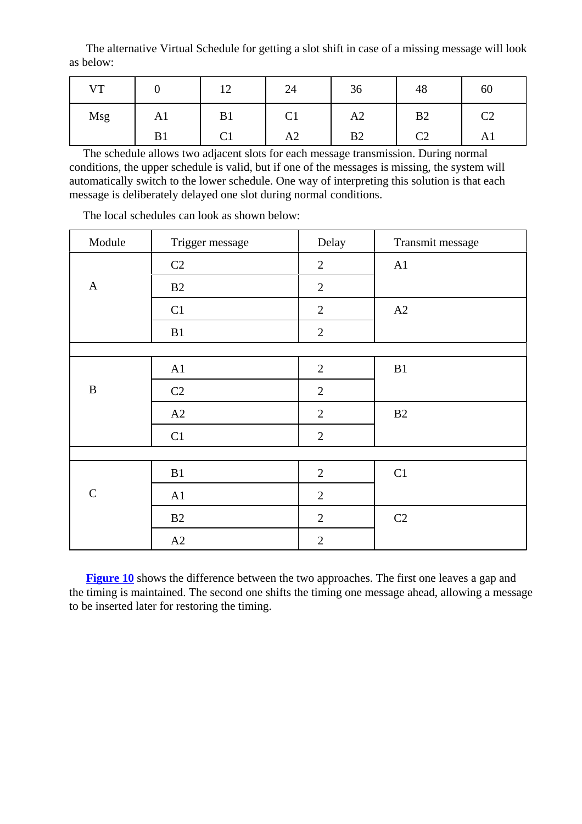The alternative Virtual Schedule for getting a slot shift in case of a missing message will look as below:

| <b>VT</b> |              | 1 $\cap$<br>$\overline{v}$ | 24             | 36             | 48       | 60           |
|-----------|--------------|----------------------------|----------------|----------------|----------|--------------|
| Msg       | $\mathbf{L}$ | B1                         | ⌒<br>U         | A <sub>2</sub> | B2       | $\cap$<br>◡▵ |
|           | B1           | ◡▴                         | A <sub>2</sub> | B <sub>2</sub> | $\rm C2$ | Al           |

The schedule allows two adjacent slots for each message transmission. During normal conditions, the upper schedule is valid, but if one of the messages is missing, the system will automatically switch to the lower schedule. One way of interpreting this solution is that each message is deliberately delayed one slot during normal conditions.

| Module       | Trigger message | Delay          | Transmit message |
|--------------|-----------------|----------------|------------------|
|              | C2              | $\overline{2}$ | A1               |
| $\mathbf{A}$ | B2              | $\overline{2}$ |                  |
|              | C1              | $\overline{2}$ | A2               |
|              | B1              | $\overline{2}$ |                  |
|              |                 |                |                  |
|              | A1              | $\mathbf{2}$   | B1               |
| $\, {\bf B}$ | C <sub>2</sub>  | $\overline{2}$ |                  |
|              | A2              | $\overline{2}$ | B2               |
|              | C1              | $\overline{2}$ |                  |
|              |                 |                |                  |
|              | B1              | $\overline{2}$ | C1               |
| $\mathsf C$  | A1              | $\overline{2}$ |                  |
|              | B2              | $\overline{2}$ | C2               |
|              | A2              | $\overline{2}$ |                  |

The local schedules can look as shown below:

**Figure 10** shows the difference between the two approaches. The first one leaves a gap and the timing is maintained. The second one shifts the timing one message ahead, allowing a message to be inserted later for restoring the timing.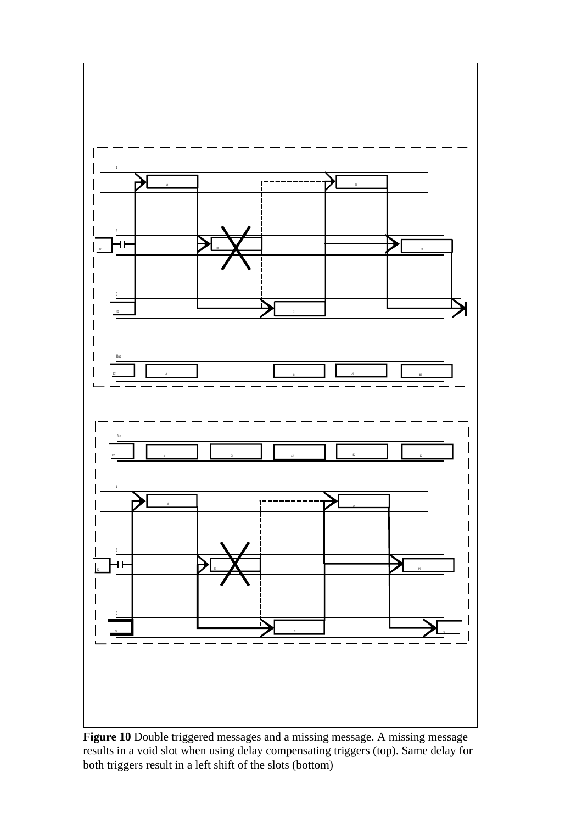

Figure 10 Double triggered messages and a missing message. A missing message results in a void slot when using delay compensating triggers (top). Same delay for both triggers result in a left shift of the slots (bottom)